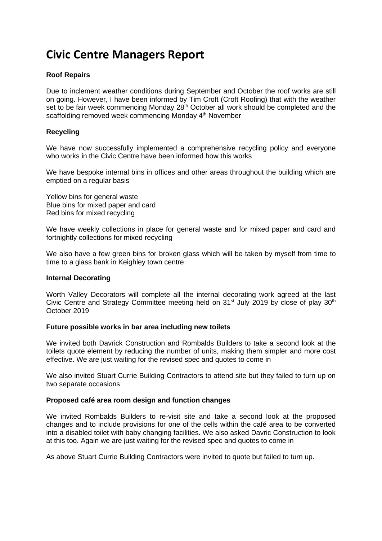# **Civic Centre Managers Report**

# **Roof Repairs**

Due to inclement weather conditions during September and October the roof works are still on going. However, I have been informed by Tim Croft (Croft Roofing) that with the weather set to be fair week commencing Monday 28<sup>th</sup> October all work should be completed and the scaffolding removed week commencing Monday 4<sup>th</sup> November

# **Recycling**

We have now successfully implemented a comprehensive recycling policy and everyone who works in the Civic Centre have been informed how this works

We have bespoke internal bins in offices and other areas throughout the building which are emptied on a regular basis

Yellow bins for general waste Blue bins for mixed paper and card Red bins for mixed recycling

We have weekly collections in place for general waste and for mixed paper and card and fortnightly collections for mixed recycling

We also have a few green bins for broken glass which will be taken by myself from time to time to a glass bank in Keighley town centre

#### **Internal Decorating**

Worth Valley Decorators will complete all the internal decorating work agreed at the last Civic Centre and Strategy Committee meeting held on  $31<sup>st</sup>$  July 2019 by close of play  $30<sup>th</sup>$ October 2019

### **Future possible works in bar area including new toilets**

We invited both Davrick Construction and Rombalds Builders to take a second look at the toilets quote element by reducing the number of units, making them simpler and more cost effective. We are just waiting for the revised spec and quotes to come in

We also invited Stuart Currie Building Contractors to attend site but they failed to turn up on two separate occasions

### **Proposed café area room design and function changes**

We invited Rombalds Builders to re-visit site and take a second look at the proposed changes and to include provisions for one of the cells within the café area to be converted into a disabled toilet with baby changing facilities. We also asked Davric Construction to look at this too. Again we are just waiting for the revised spec and quotes to come in

As above Stuart Currie Building Contractors were invited to quote but failed to turn up.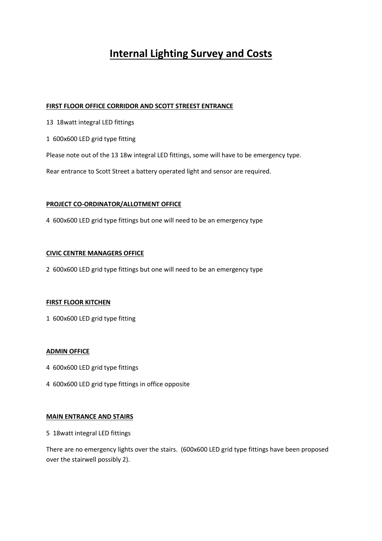# **Internal Lighting Survey and Costs**

#### **FIRST FLOOR OFFICE CORRIDOR AND SCOTT STREEST ENTRANCE**

- 13 18watt integral LED fittings
- 1 600x600 LED grid type fitting

Please note out of the 13 18w integral LED fittings, some will have to be emergency type.

Rear entrance to Scott Street a battery operated light and sensor are required.

#### **PROJECT CO-ORDINATOR/ALLOTMENT OFFICE**

4 600x600 LED grid type fittings but one will need to be an emergency type

#### **CIVIC CENTRE MANAGERS OFFICE**

2 600x600 LED grid type fittings but one will need to be an emergency type

#### **FIRST FLOOR KITCHEN**

1 600x600 LED grid type fitting

#### **ADMIN OFFICE**

- 4 600x600 LED grid type fittings
- 4 600x600 LED grid type fittings in office opposite

#### **MAIN ENTRANCE AND STAIRS**

5 18watt integral LED fittings

There are no emergency lights over the stairs. (600x600 LED grid type fittings have been proposed over the stairwell possibly 2).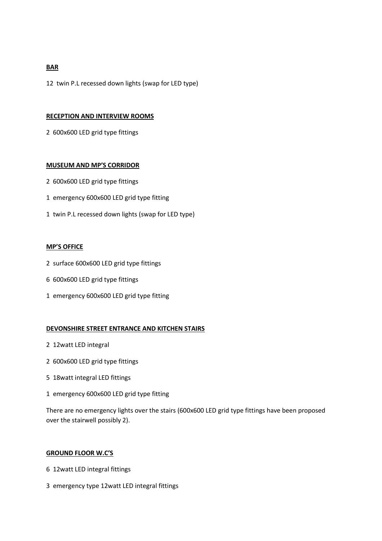#### **BAR**

12 twin P.L recessed down lights (swap for LED type)

#### **RECEPTION AND INTERVIEW ROOMS**

2 600x600 LED grid type fittings

#### **MUSEUM AND MP'S CORRIDOR**

- 2 600x600 LED grid type fittings
- 1 emergency 600x600 LED grid type fitting
- 1 twin P.L recessed down lights (swap for LED type)

#### **MP'S OFFICE**

- 2 surface 600x600 LED grid type fittings
- 6 600x600 LED grid type fittings
- 1 emergency 600x600 LED grid type fitting

#### **DEVONSHIRE STREET ENTRANCE AND KITCHEN STAIRS**

- 2 12watt LED integral
- 2 600x600 LED grid type fittings
- 5 18watt integral LED fittings
- 1 emergency 600x600 LED grid type fitting

There are no emergency lights over the stairs (600x600 LED grid type fittings have been proposed over the stairwell possibly 2).

#### **GROUND FLOOR W.C'S**

- 6 12watt LED integral fittings
- 3 emergency type 12watt LED integral fittings